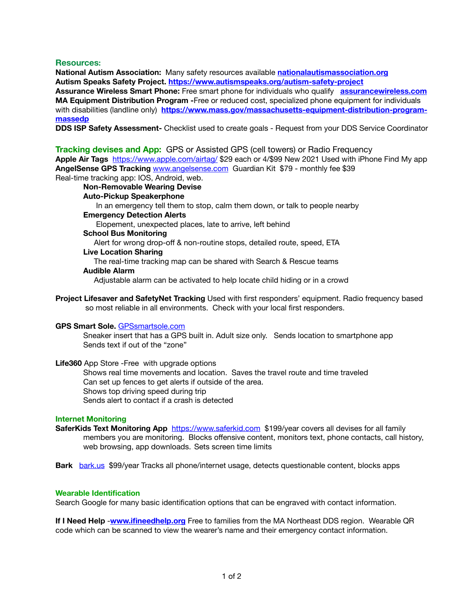# **Resources:**

**National Autism Association:** Many safety resources available **[nationalautismassociation.org](http://nationalautismassociation.org) Autism Speaks Safety Project. <https://www.autismspeaks.org/autism-safety-project>**

**Assurance Wireless Smart Phone:** Free smart phone for individuals who qualify **[assurancewireless.com](http://assurancewireless.com) MA Equipment Distribution Program -**Free or reduced cost, specialized phone equipment for individuals with disabilities (landline only) **[https://www.mass.gov/massachusetts-equipment-distribution-program](https://www.mass.gov/massachusetts-equipment-distribution-program-massedp)[massedp](https://www.mass.gov/massachusetts-equipment-distribution-program-massedp)**

**DDS ISP Safety Assessment-** Checklist used to create goals - Request from your DDS Service Coordinator

# **Tracking devises and App:** GPS or Assisted GPS (cell towers) or Radio Frequency

**Apple Air Tags** <https://www.apple.com/airtag/> \$29 each or 4/\$99 New 2021 Used with iPhone Find My app **AngelSense GPS Tracking** [www.angelsense.com](http://www.angelsense.com) Guardian Kit \$79 - monthly fee \$39 Real-time tracking app: IOS, Android, web.

**Non-Removable Wearing Devise Auto-Pickup Speakerphone** In an emergency tell them to stop, calm them down, or talk to people nearby **Emergency Detection Alerts** Elopement, unexpected places, late to arrive, left behind **School Bus Monitoring** Alert for wrong drop-off & non-routine stops, detailed route, speed, ETA **Live Location Sharing** The real-time tracking map can be shared with Search & Rescue teams **Audible Alarm** Adjustable alarm can be activated to help locate child hiding or in a crowd

**Project Lifesaver and SafetyNet Tracking** Used with first responders' equipment. Radio frequency based so most reliable in all environments. Check with your local first responders.

### **GPS Smart Sole.** [GPSsmartsole.com](http://GPSsmartsole.com)

Sneaker insert that has a GPS built in. Adult size only. Sends location to smartphone app Sends text if out of the "zone"

#### **Life360** App Store -Free with upgrade options

Shows real time movements and location. Saves the travel route and time traveled Can set up fences to get alerts if outside of the area. Shows top driving speed during trip Sends alert to contact if a crash is detected

### **Internet Monitoring**

**SaferKids Text Monitoring App** <https://www.saferkid.com>\$199/year covers all devises for all family members you are monitoring. Blocks offensive content, monitors text, phone contacts, call history, web browsing, app downloads. Sets screen time limits

**Bark** [bark.us](http://bark.us) \$99/year Tracks all phone/internet usage, detects questionable content, blocks apps

### **Wearable Identification**

Search Google for many basic identification options that can be engraved with contact information.

**If I Need Help** -**[www.ifineedhelp.org](http://www.ifineedhelp.org)** Free to families from the MA Northeast DDS region. Wearable QR code which can be scanned to view the wearer's name and their emergency contact information.